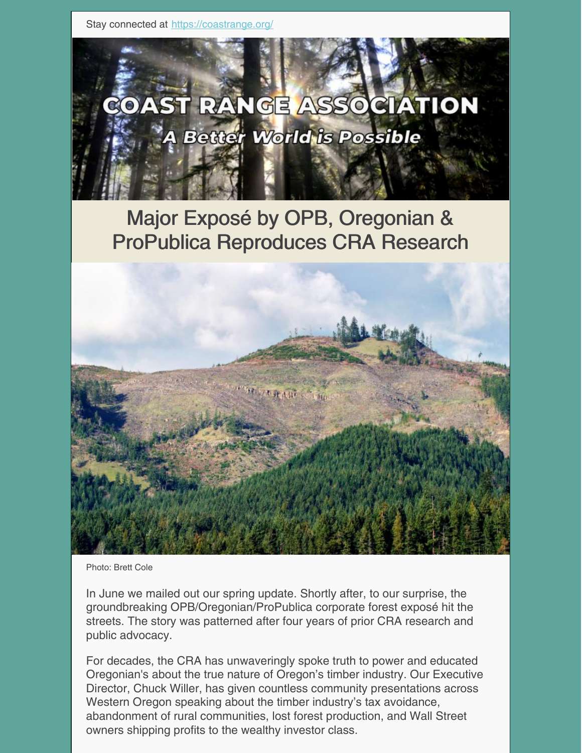Stay connected at <https://coastrange.org/>



# Major Exposé by OPB, Oregonian & ProPublica Reproduces CRA Research



Photo: Brett Cole

In June we mailed out our spring update. Shortly after, to our surprise, the groundbreaking OPB/Oregonian/ProPublica corporate forest exposé hit the streets. The story was patterned after four years of prior CRA research and public advocacy.

For decades, the CRA has unwaveringly spoke truth to power and educated Oregonian's about the true nature of Oregon's timber industry. Our Executive Director, Chuck Willer, has given countless community presentations across Western Oregon speaking about the timber industry's tax avoidance, abandonment of rural communities, lost forest production, and Wall Street owners shipping profits to the wealthy investor class.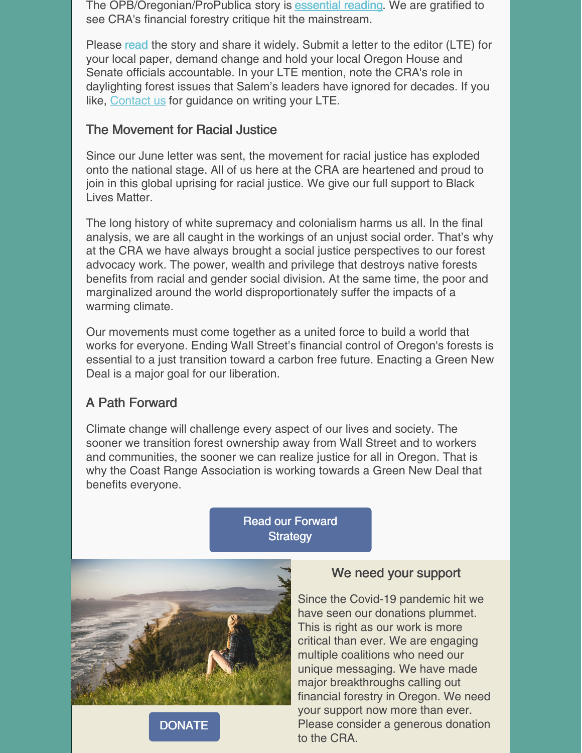The OPB/Oregonian/ProPublica story is **[essential](https://www.opb.org/news/article/oregon-investigation-timber-logging-forests-policy-taxes-spotted-owl/) reading**. We are gratified to see CRA's financial forestry critique hit the mainstream.

Please [read](https://www.opb.org/news/article/oregon-investigation-timber-logging-forests-policy-taxes-spotted-owl/) the story and share it widely. Submit a letter to the editor (LTE) for your local paper, demand change and hold your local Oregon House and Senate officials accountable. In your LTE mention, note the CRA's role in daylighting forest issues that Salem's leaders have ignored for decades. If you like, [Contact](mailto:andrew@coastrange.org) us for guidance on writing your LTE.

#### The Movement for Racial Justice

Since our June letter was sent, the movement for racial justice has exploded onto the national stage. All of us here at the CRA are heartened and proud to join in this global uprising for racial justice. We give our full support to Black Lives Matter.

The long history of white supremacy and colonialism harms us all. In the final analysis, we are all caught in the workings of an unjust social order. That's why at the CRA we have always brought a social justice perspectives to our forest advocacy work. The power, wealth and privilege that destroys native forests benefits from racial and gender social division. At the same time, the poor and marginalized around the world disproportionately suffer the impacts of a warming climate.

Our movements must come together as a united force to build a world that works for everyone. Ending Wall Street's financial control of Oregon's forests is essential to a just transition toward a carbon free future. Enacting a Green New Deal is a major goal for our liberation.

# A Path Forward

Climate change will challenge every aspect of our lives and society. The sooner we transition forest ownership away from Wall Street and to workers and communities, the sooner we can realize justice for all in Oregon. That is why the Coast Range Association is working towards a Green New Deal that benefits everyone.

> Read our [Forward](https://coastrange.org/our-vision/) **Strategy**



**[DONATE](https://coastrange.org/donate/)** 



Since the Covid-19 pandemic hit we have seen our donations plummet. This is right as our work is more critical than ever. We are engaging multiple coalitions who need our unique messaging. We have made major breakthroughs calling out financial forestry in Oregon. We need your support now more than ever. Please consider a generous donation to the CRA.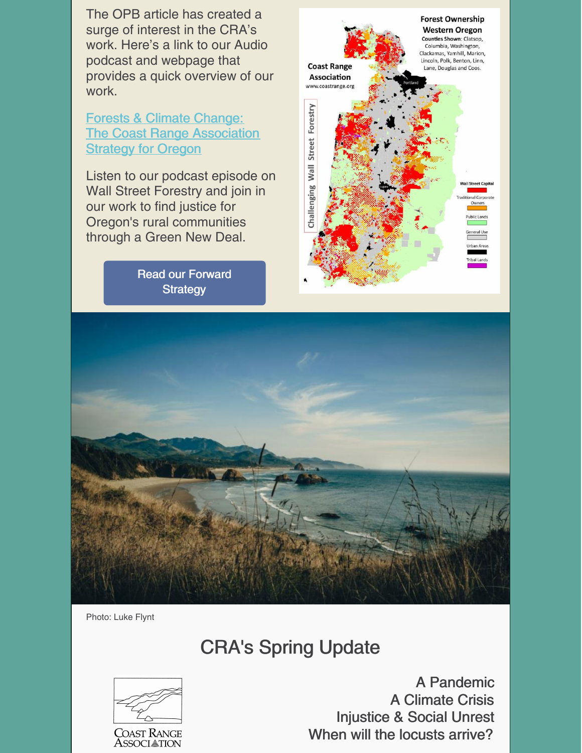The OPB article has created a surge of interest in the CRA's work. Here's a link to our Audio podcast and webpage that provides a quick overview of our work.

Forests & Climate [Change:](https://coastrange.org/our-vision/) The Coast Range [Association](https://coastrange.org/our-vision/) **[Strategy](https://coastrange.org/our-vision/) for Oregon** 

Listen to our podcast episode on Wall Street Forestry and join in our work to find justice for Oregon's rural communities through a Green New Deal.

> Read our [Forward](https://coastrange.org/our-vision/) **Strategy**





Photo: Luke Flynt

# CRA's Spring Update



A Pandemic A Climate Crisis Injustice & Social Unrest When will the locusts arrive?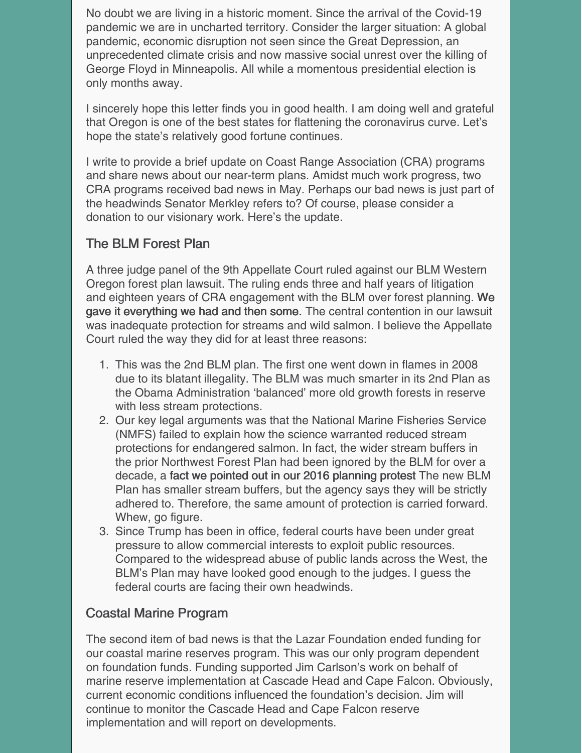No doubt we are living in a historic moment. Since the arrival of the Covid-19 pandemic we are in uncharted territory. Consider the larger situation: A global pandemic, economic disruption not seen since the Great Depression, an unprecedented climate crisis and now massive social unrest over the killing of George Floyd in Minneapolis. All while a momentous presidential election is only months away.

I sincerely hope this letter finds you in good health. I am doing well and grateful that Oregon is one of the best states for flattening the coronavirus curve. Let's hope the state's relatively good fortune continues.

I write to provide a brief update on Coast Range Association (CRA) programs and share news about our near-term plans. Amidst much work progress, two CRA programs received bad news in May. Perhaps our bad news is just part of the headwinds Senator Merkley refers to? Of course, please consider a donation to our visionary work. Here's the update.

#### The BLM Forest Plan

A three judge panel of the 9th Appellate Court ruled against our BLM Western Oregon forest plan lawsuit. The ruling ends three and half years of litigation and eighteen years of CRA engagement with the BLM over forest planning. We gave it everything we had and then some. The central contention in our lawsuit was inadequate protection for streams and wild salmon. I believe the Appellate Court ruled the way they did for at least three reasons:

- 1. This was the 2nd BLM plan. The first one went down in flames in 2008 due to its blatant illegality. The BLM was much smarter in its 2nd Plan as the Obama Administration 'balanced' more old growth forests in reserve with less stream protections.
- 2. Our key legal arguments was that the National Marine Fisheries Service (NMFS) failed to explain how the science warranted reduced stream protections for endangered salmon. In fact, the wider stream buffers in the prior Northwest Forest Plan had been ignored by the BLM for over a decade, a fact we pointed out in our 2016 planning protest The new BLM Plan has smaller stream buffers, but the agency says they will be strictly adhered to. Therefore, the same amount of protection is carried forward. Whew, go figure.
- 3. Since Trump has been in office, federal courts have been under great pressure to allow commercial interests to exploit public resources. Compared to the widespread abuse of public lands across the West, the BLM's Plan may have looked good enough to the judges. I guess the federal courts are facing their own headwinds.

# Coastal Marine Program

The second item of bad news is that the Lazar Foundation ended funding for our coastal marine reserves program. This was our only program dependent on foundation funds. Funding supported Jim Carlson's work on behalf of marine reserve implementation at Cascade Head and Cape Falcon. Obviously, current economic conditions influenced the foundation's decision. Jim will continue to monitor the Cascade Head and Cape Falcon reserve implementation and will report on developments.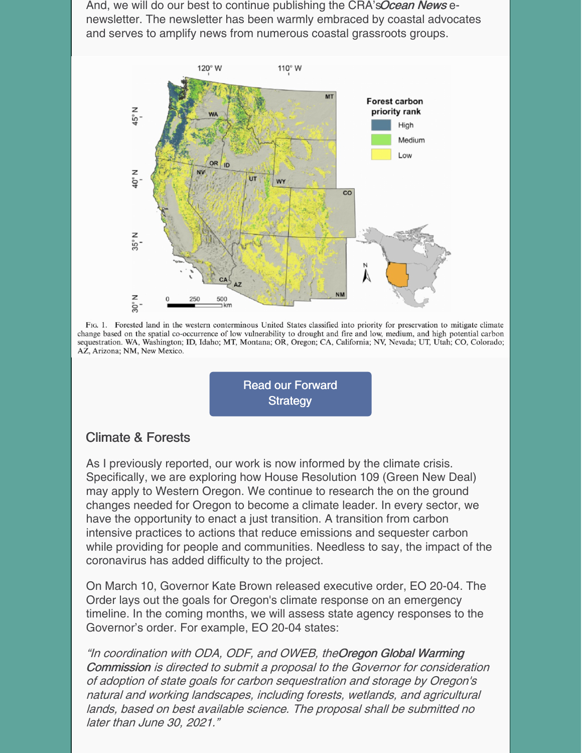And, we will do our best to continue publishing the CRA's Ocean News enewsletter. The newsletter has been warmly embraced by coastal advocates and serves to amplify news from numerous coastal grassroots groups.



FIG. 1. Forested land in the western conterminous United States classified into priority for preservation to mitigate climate change based on the spatial co-occurrence of low vulnerability to drought and fire and low, medium, and high potential carbon sequestration. WA, Washington; ID, Idaho; MT, Montana; OR, Oregon; CA, California; NV, Nevada; UT, Utah; CO, Colorado; AZ, Arizona; NM, New Mexico.



#### Climate & Forests

As I previously reported, our work is now informed by the climate crisis. Specifically, we are exploring how House Resolution 109 (Green New Deal) may apply to Western Oregon. We continue to research the on the ground changes needed for Oregon to become a climate leader. In every sector, we have the opportunity to enact a just transition. A transition from carbon intensive practices to actions that reduce emissions and sequester carbon while providing for people and communities. Needless to say, the impact of the coronavirus has added difficulty to the project.

On March 10, Governor Kate Brown released executive order, EO 20-04. The Order lays out the goals for Oregon's climate response on an emergency timeline. In the coming months, we will assess state agency responses to the Governor's order. For example, EO 20-04 states:

"In coordination with ODA, ODF, and OWEB, theOregon Global Warming Commission is directed to submit <sup>a</sup> proposal to the Governor for consideration of adoption of state goals for carbon sequestration and storage by Oregon's natural and working landscapes, including forests, wetlands, and agricultural lands, based on best available science. The proposal shall be submitted no later than June 30, 2021."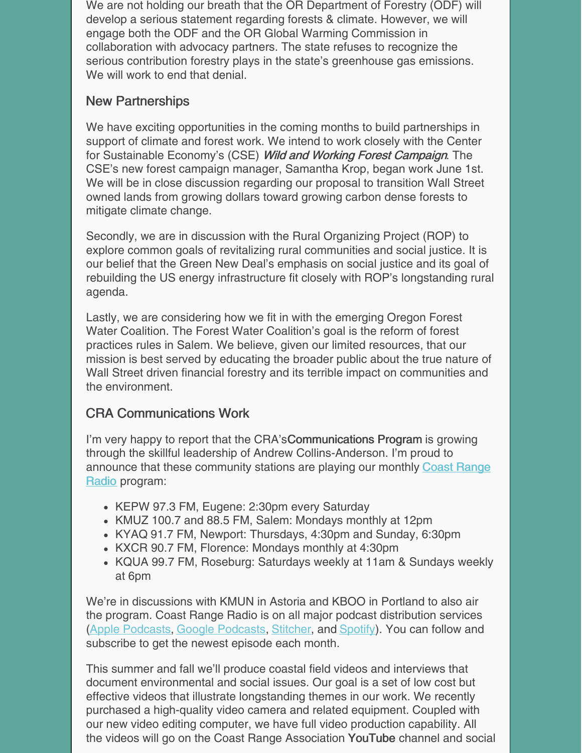We are not holding our breath that the OR Department of Forestry (ODF) will develop a serious statement regarding forests & climate. However, we will engage both the ODF and the OR Global Warming Commission in collaboration with advocacy partners. The state refuses to recognize the serious contribution forestry plays in the state's greenhouse gas emissions. We will work to end that denial.

#### New Partnerships

We have exciting opportunities in the coming months to build partnerships in support of climate and forest work. We intend to work closely with the Center for Sustainable Economy's (CSE) Wild and Working Forest Campaign. The CSE's new forest campaign manager, Samantha Krop, began work June 1st. We will be in close discussion regarding our proposal to transition Wall Street owned lands from growing dollars toward growing carbon dense forests to mitigate climate change.

Secondly, we are in discussion with the Rural Organizing Project (ROP) to explore common goals of revitalizing rural communities and social justice. It is our belief that the Green New Deal's emphasis on social justice and its goal of rebuilding the US energy infrastructure fit closely with ROP's longstanding rural agenda.

Lastly, we are considering how we fit in with the emerging Oregon Forest Water Coalition. The Forest Water Coalition's goal is the reform of forest practices rules in Salem. We believe, given our limited resources, that our mission is best served by educating the broader public about the true nature of Wall Street driven financial forestry and its terrible impact on communities and the environment.

#### CRA Communications Work

I'm very happy to report that the CRA's Communications Program is growing through the skillful leadership of Andrew Collins-Anderson. I'm proud to announce that these [community](https://coastrange.org/coast-range-radio/) stations are playing our monthly Coast Range Radio program:

- KEPW 97.3 FM, Eugene: 2:30pm every Saturday
- KMUZ 100.7 and 88.5 FM, Salem: Mondays monthly at 12pm
- KYAQ 91.7 FM, Newport: Thursdays, 4:30pm and Sunday, 6:30pm
- KXCR 90.7 FM, Florence: Mondays monthly at 4:30pm
- KQUA 99.7 FM, Roseburg: Saturdays weekly at 11am & Sundays weekly at 6pm

We're in discussions with KMUN in Astoria and KBOO in Portland to also air the program. Coast Range Radio is on all major podcast distribution services (Apple [Podcasts](https://podcasts.apple.com/us/podcast/coast-range-radio/id1510457358?ign-mpt=uo%3D4), Google [Podcasts](https://podcasts.google.com/?feed=aHR0cHM6Ly9mZWVkcy5idXp6c3Byb3V0LmNvbS8xMDQ2MDQ0LnJzcw==), [Stitcher](https://www.stitcher.com/podcast/coast-range-radio?refid=stpr), and [Spotify\)](https://open.spotify.com/show/5sBJ7vP30lst1s037ATocv). You can follow and subscribe to get the newest episode each month.

This summer and fall we'll produce coastal field videos and interviews that document environmental and social issues. Our goal is a set of low cost but effective videos that illustrate longstanding themes in our work. We recently purchased a high-quality video camera and related equipment. Coupled with our new video editing computer, we have full video production capability. All the videos will go on the Coast Range Association YouTube channel and social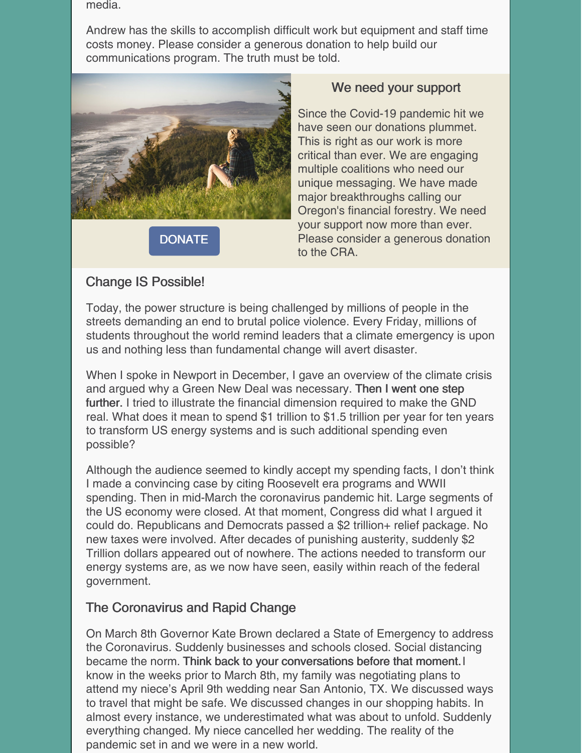media.

Andrew has the skills to accomplish difficult work but equipment and staff time costs money. Please consider a generous donation to help build our communications program. The truth must be told.



**[DONATE](https://coastrange.org/donate/)** 

#### We need your support

Since the Covid-19 pandemic hit we have seen our donations plummet. This is right as our work is more critical than ever. We are engaging multiple coalitions who need our unique messaging. We have made major breakthroughs calling our Oregon's financial forestry. We need your support now more than ever. Please consider a generous donation to the CRA.

#### Change IS Possible!

Today, the power structure is being challenged by millions of people in the streets demanding an end to brutal police violence. Every Friday, millions of students throughout the world remind leaders that a climate emergency is upon us and nothing less than fundamental change will avert disaster.

When I spoke in Newport in December, I gave an overview of the climate crisis and argued why a Green New Deal was necessary. Then I went one step further. I tried to illustrate the financial dimension required to make the GND real. What does it mean to spend \$1 trillion to \$1.5 trillion per year for ten years to transform US energy systems and is such additional spending even possible?

Although the audience seemed to kindly accept my spending facts, I don't think I made a convincing case by citing Roosevelt era programs and WWII spending. Then in mid-March the coronavirus pandemic hit. Large segments of the US economy were closed. At that moment, Congress did what I argued it could do. Republicans and Democrats passed a \$2 trillion+ relief package. No new taxes were involved. After decades of punishing austerity, suddenly \$2 Trillion dollars appeared out of nowhere. The actions needed to transform our energy systems are, as we now have seen, easily within reach of the federal government.

# The Coronavirus and Rapid Change

On March 8th Governor Kate Brown declared a State of Emergency to address the Coronavirus. Suddenly businesses and schools closed. Social distancing became the norm. Think back to your conversations before that moment. know in the weeks prior to March 8th, my family was negotiating plans to attend my niece's April 9th wedding near San Antonio, TX. We discussed ways to travel that might be safe. We discussed changes in our shopping habits. In almost every instance, we underestimated what was about to unfold. Suddenly everything changed. My niece cancelled her wedding. The reality of the pandemic set in and we were in a new world.